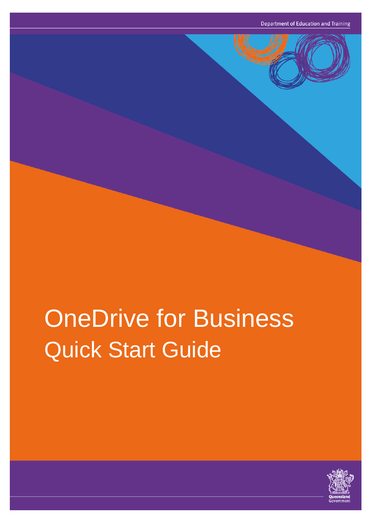# OneDrive for Business Quick Start Guide

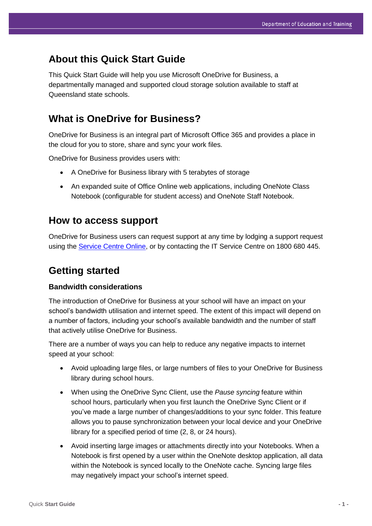## **About this Quick Start Guide**

This Quick Start Guide will help you use Microsoft OneDrive for Business, a departmentally managed and supported cloud storage solution available to staff at Queensland state schools.

## **What is OneDrive for Business?**

OneDrive for Business is an integral part of Microsoft Office 365 and provides a place in the cloud for you to store, share and sync your work files.

OneDrive for Business provides users with:

- A OneDrive for Business library with 5 terabytes of storage
- An expanded suite of Office Online web applications, including OneNote Class Notebook (configurable for student access) and OneNote Staff Notebook.

## **How to access support**

OneDrive for Business users can request support at any time by lodging a support request using the [Service Centre Online,](https://qlddet.service-now.com/sco/) or by contacting the IT Service Centre on 1800 680 445.

## **Getting started**

#### **Bandwidth considerations**

The introduction of OneDrive for Business at your school will have an impact on your school's bandwidth utilisation and internet speed. The extent of this impact will depend on a number of factors, including your school's available bandwidth and the number of staff that actively utilise OneDrive for Business.

There are a number of ways you can help to reduce any negative impacts to internet speed at your school:

- Avoid uploading large files, or large numbers of files to your OneDrive for Business library during school hours.
- When using the OneDrive Sync Client, use the *Pause syncing* feature within school hours, particularly when you first launch the OneDrive Sync Client or if you've made a large number of changes/additions to your sync folder. This feature allows you to pause synchronization between your local device and your OneDrive library for a specified period of time (2, 8, or 24 hours).
- Avoid inserting large images or attachments directly into your Notebooks. When a Notebook is first opened by a user within the OneNote desktop application, all data within the Notebook is synced locally to the OneNote cache. Syncing large files may negatively impact your school's internet speed.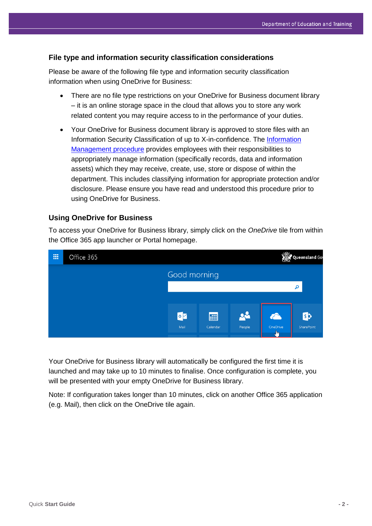#### **File type and information security classification considerations**

Please be aware of the following file type and information security classification information when using OneDrive for Business:

- There are no file type restrictions on your OneDrive for Business document library – it is an online storage space in the cloud that allows you to store any work related content you may require access to in the performance of your duties.
- Your OneDrive for Business document library is approved to store files with an Information Security Classification of up to X-in-confidence. The Information [Management procedure](http://ppr.det.qld.gov.au/corp/ict/management/Pages/Information-Management.aspx) provides employees with their responsibilities to appropriately manage information (specifically records, data and information assets) which they may receive, create, use, store or dispose of within the department. This includes classifying information for appropriate protection and/or disclosure. Please ensure you have read and understood this procedure prior to using OneDrive for Business.

#### **Using OneDrive for Business**

To access your OneDrive for Business library, simply click on the *OneDrive* tile from within the Office 365 app launcher or Portal homepage.



Your OneDrive for Business library will automatically be configured the first time it is launched and may take up to 10 minutes to finalise. Once configuration is complete, you will be presented with your empty OneDrive for Business library.

Note: If configuration takes longer than 10 minutes, click on another Office 365 application (e.g. Mail), then click on the OneDrive tile again.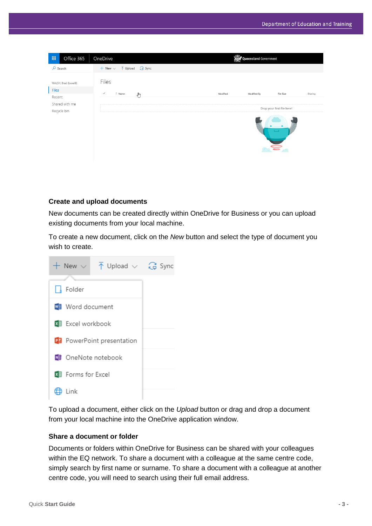| 冊                             | Office 365           | OneDrive                                                                 |          | Queensland Government |                  |         |  |
|-------------------------------|----------------------|--------------------------------------------------------------------------|----------|-----------------------|------------------|---------|--|
| $O$ Search                    |                      | $+$ New $\vee$ $\overline{\uparrow}$ Upload $\overline{\mathbb{G}}$ Sync |          |                       |                  |         |  |
| <b>Files</b>                  | WALSH, Brad (bxwal9) | Files                                                                    |          |                       |                  |         |  |
| Recent                        |                      | $\checkmark$<br>↑ Name<br>্™ি                                            | Modified | Modified By           | File Size        | Sharing |  |
| Shared with me<br>Recycle bin |                      | Drop your first file here!                                               |          |                       |                  |         |  |
|                               |                      |                                                                          |          |                       | $\tilde{\equiv}$ |         |  |

#### **Create and upload documents**

New documents can be created directly within OneDrive for Business or you can upload existing documents from your local machine.

To create a new document, click on the *New* button and select the type of document you wish to create.



To upload a document, either click on the *Upload* button or drag and drop a document from your local machine into the OneDrive application window.

#### **Share a document or folder**

Documents or folders within OneDrive for Business can be shared with your colleagues within the EQ network. To share a document with a colleague at the same centre code, simply search by first name or surname. To share a document with a colleague at another centre code, you will need to search using their full email address.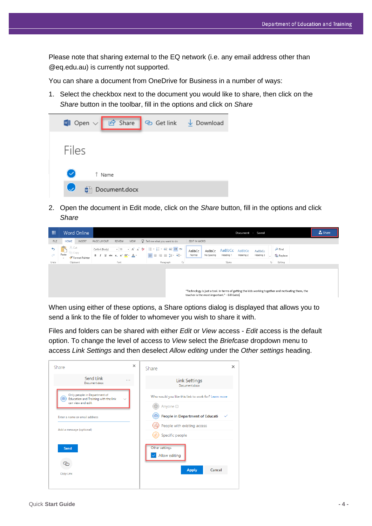Please note that sharing external to the EQ network (i.e. any email address other than @eq.edu.au) is currently not supported.

You can share a document from OneDrive for Business in a number of ways:

1. Select the checkbox next to the document you would like to share, then click on the *Share* button in the toolbar, fill in the options and click on *Share*



2. Open the document in Edit mode, click on the *Share* button, fill in the options and click *Share*



When using either of these options, a Share options dialog is displayed that allows you to send a link to the file of folder to whomever you wish to share it with.

Files and folders can be shared with either *Edit* or *View* access - *Edit* access is the default option. To change the level of access to *View* select the *Briefcase* dropdown menu to access *Link Settings* and then deselect *Allow editing* under the *Other settings* heading.

| Share                                                                                           | $\times$ | ×<br>Share                                                |
|-------------------------------------------------------------------------------------------------|----------|-----------------------------------------------------------|
| Send Link<br>.<br>Document.docx                                                                 |          | <b>Link Settings</b><br>Document.docx                     |
| Only people in Department of<br>夁<br>Education and Training with the link<br>can view and edit. |          | Who would you like this link to work for? Learn more      |
| Enter a name or email address                                                                   |          | Anyone <sub>O</sub><br>People in Department of Educati-   |
| Add a message (optional)                                                                        |          | People with existing access<br>Specific people            |
| Send<br>Copy Link                                                                               |          | Other settings<br>Allow editing<br>Cancel<br><b>Apply</b> |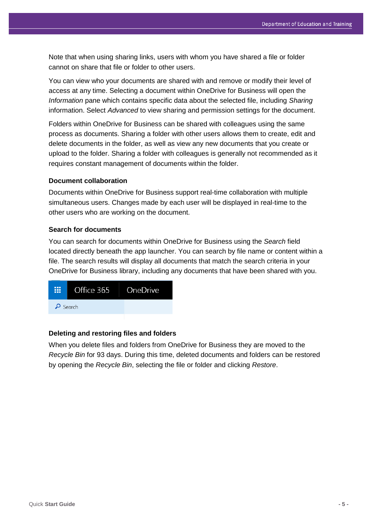Note that when using sharing links, users with whom you have shared a file or folder cannot on share that file or folder to other users.

You can view who your documents are shared with and remove or modify their level of access at any time. Selecting a document within OneDrive for Business will open the *Information* pane which contains specific data about the selected file, including *Sharing* information. Select *Advanced* to view sharing and permission settings for the document.

Folders within OneDrive for Business can be shared with colleagues using the same process as documents. Sharing a folder with other users allows them to create, edit and delete documents in the folder, as well as view any new documents that you create or upload to the folder. Sharing a folder with colleagues is generally not recommended as it requires constant management of documents within the folder.

#### **Document collaboration**

Documents within OneDrive for Business support real-time collaboration with multiple simultaneous users. Changes made by each user will be displayed in real-time to the other users who are working on the document.

#### **Search for documents**

You can search for documents within OneDrive for Business using the *Search* field located directly beneath the app launcher. You can search by file name or content within a file. The search results will display all documents that match the search criteria in your OneDrive for Business library, including any documents that have been shared with you.



#### **Deleting and restoring files and folders**

When you delete files and folders from OneDrive for Business they are moved to the *Recycle Bin* for 93 days. During this time, deleted documents and folders can be restored by opening the *Recycle Bin*, selecting the file or folder and clicking *Restore*.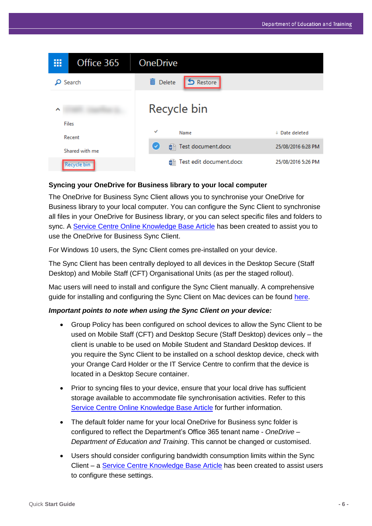

#### **Syncing your OneDrive for Business library to your local computer**

The OneDrive for Business Sync Client allows you to synchronise your OneDrive for Business library to your local computer. You can configure the Sync Client to synchronise all files in your OneDrive for Business library, or you can select specific files and folders to sync. A [Service Centre Online Knowledge Base Article](https://qlddet.service-now.com/sco/detail.do?sysparm_document_key=kb_knowledge,2074b5084f66a2409b67faf11310c7e5) has been created to assist you to use the OneDrive for Business Sync Client.

For Windows 10 users, the Sync Client comes pre-installed on your device.

The Sync Client has been centrally deployed to all devices in the Desktop Secure (Staff Desktop) and Mobile Staff (CFT) Organisational Units (as per the staged rollout).

Mac users will need to install and configure the Sync Client manually. A comprehensive guide for installing and configuring the Sync Client on Mac devices can be found [here.](https://support.office.com/en-us/article/Get-started-with-the-new-OneDrive-sync-client-on-Mac-OS-X-d11b9f29-00bb-4172-be39-997da46f913f?ui=en-US&rs=en-US&ad=US)

#### *Important points to note when using the Sync Client on your device:*

- Group Policy has been configured on school devices to allow the Sync Client to be used on Mobile Staff (CFT) and Desktop Secure (Staff Desktop) devices only – the client is unable to be used on Mobile Student and Standard Desktop devices. If you require the Sync Client to be installed on a school desktop device, check with your Orange Card Holder or the IT Service Centre to confirm that the device is located in a Desktop Secure container.
- Prior to syncing files to your device, ensure that your local drive has sufficient storage available to accommodate file synchronisation activities. Refer to this [Service Centre Online Knowledge Base Article](https://qlddet.service-now.com/sco/detail.do?sysparm_document_key=kb_knowledge,2074b5084f66a2409b67faf11310c7e5) for further information.
- The default folder name for your local OneDrive for Business sync folder is configured to reflect the Department's Office 365 tenant name - *OneDrive – Department of Education and Training*. This cannot be changed or customised.
- Users should consider configuring bandwidth consumption limits within the Sync Client – a [Service Centre Knowledge Base Article](https://qlddet.service-now.com/sco/detail.do?sysparm_document_key=kb_knowledge,22af5c114ffd7ac061aa0adf0310c7d3) has been created to assist users to configure these settings.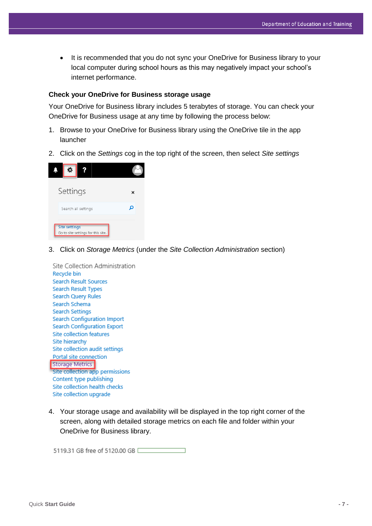It is recommended that you do not sync your OneDrive for Business library to your local computer during school hours as this may negatively impact your school's internet performance.

#### **Check your OneDrive for Business storage usage**

Your OneDrive for Business library includes 5 terabytes of storage. You can check your OneDrive for Business usage at any time by following the process below:

- 1. Browse to your OneDrive for Business library using the OneDrive tile in the app launcher
- 2. Click on the *Settings* cog in the top right of the screen, then select *Site settings*

| ٠                                                          |   |
|------------------------------------------------------------|---|
| Settings                                                   | x |
| Search all settings                                        |   |
| <b>Site settings</b><br>Go to site settings for this site. |   |

3. Click on *Storage Metrics* (under the *Site Collection Administration* section)

Site Collection Administration Recycle bin Search Result Sources Search Result Types Search Query Rules Search Schema **Search Settings Search Configuration Import Search Configuration Export** Site collection features Site hierarchy Site collection audit settings Portal site connection Storage Metrics Site collection app permissions Content type publishing Site collection health checks Site collection upgrade

4. Your storage usage and availability will be displayed in the top right corner of the screen, along with detailed storage metrics on each file and folder within your OneDrive for Business library.

5119.31 GB free of 5120.00 GB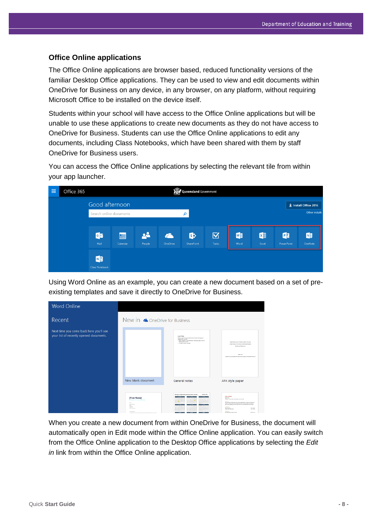#### **Office Online applications**

The Office Online applications are browser based, reduced functionality versions of the familiar Desktop Office applications. They can be used to view and edit documents within OneDrive for Business on any device, in any browser, on any platform, without requiring Microsoft Office to be installed on the device itself.

Students within your school will have access to the Office Online applications but will be unable to use these applications to create new documents as they do not have access to OneDrive for Business. Students can use the Office Online applications to edit any documents, including Class Notebooks, which have been shared with them by staff OneDrive for Business users.

You can access the Office Online applications by selecting the relevant tile from within your app launcher.



Using Word Online as an example, you can create a new document based on a set of preexisting templates and save it directly to OneDrive for Business.

| <b>Word Online</b>                                                                           |                                                                                                                                                                                                                                                                            |                                                                                                                                                                                                            |                                                                                                                                                                                                                                                                                                                                                                                                                                                                                                                                                              |
|----------------------------------------------------------------------------------------------|----------------------------------------------------------------------------------------------------------------------------------------------------------------------------------------------------------------------------------------------------------------------------|------------------------------------------------------------------------------------------------------------------------------------------------------------------------------------------------------------|--------------------------------------------------------------------------------------------------------------------------------------------------------------------------------------------------------------------------------------------------------------------------------------------------------------------------------------------------------------------------------------------------------------------------------------------------------------------------------------------------------------------------------------------------------------|
| Recent<br>Next time you come back here you'll see<br>your list of recently opened documents. | New in <b>a</b> OneDrive for Business                                                                                                                                                                                                                                      | (List Title)<br>Fyeche met to write, just whether the off test and start (galy to                                                                                                                          |                                                                                                                                                                                                                                                                                                                                                                                                                                                                                                                                                              |
|                                                                                              |                                                                                                                                                                                                                                                                            | nows it will your own.<br>. Next a heating? On the Home tab, in the Stylet gallery, clien the<br>heading shift you want.<br>. The state is natural list flutter                                            | (AMERIKATER up to 12 Words, on that to Two Lines)<br>[Artho Nasatic First M Let, Onil Trim and Degram]<br><b><i>Derivated ATAAVAN</i></b><br>Anthony Works<br>(tachets are grantfording information and a complete componenties without)                                                                                                                                                                                                                                                                                                                     |
|                                                                                              | New blank document                                                                                                                                                                                                                                                         | General notes                                                                                                                                                                                              | APA style paper                                                                                                                                                                                                                                                                                                                                                                                                                                                                                                                                              |
|                                                                                              | [Your Name]<br><b>CONTRACTOR</b><br>Fer.<br>$\frac{\beta^2\left(1+\frac{1}{2}\right)\left(1+\frac{1}{2}\right)\beta^2}{\beta^2\left(1+\frac{1}{2}\right)}\leq\frac{\beta^2}{2\beta}\leq\frac{\beta^2}{2\beta}.$<br>Toront<br>Politica<br>Politica<br><b>Text The Ameri</b> | (College or Organization Name) academic calendar<br>2014 to 2017<br><b>START START</b><br><b>SERIES</b><br>$A$ , $A$ , $A$ , $A$ , $A$ , $A$ , $A$<br>---<br>$-$ 10.00 $-$<br>44444<br>A, B, F, B, B, B, E | [Your Name]<br><b>Cash Fired</b><br><b>England - Bratistine) - Directation 10, 5' (First)</b><br><b>Supported</b><br>advised management operations acceptance for funeral construction.<br>between the company with the company of the second and service the company of<br>Will any the forestime on on this anywe with pairs With Kan Art Board at the following<br>Cracket' att<br><b><i><u>kertament</u></i></b><br>Pracarional<br>Stewart Port of Delaw Printed<br>PA MAR<br><b>Collection</b><br>Die Vral Status Veral Die Seid<br><b>Death on Tel</b> |

When you create a new document from within OneDrive for Business, the document will automatically open in Edit mode within the Office Online application. You can easily switch from the Office Online application to the Desktop Office applications by selecting the *Edit in* link from within the Office Online application.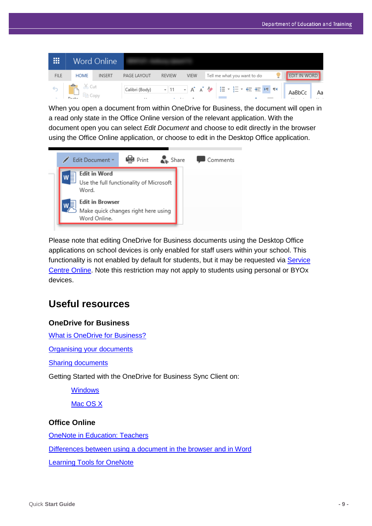| 冊                               | Word Online |                |             |               |             |                             |  |        |              |  |
|---------------------------------|-------------|----------------|-------------|---------------|-------------|-----------------------------|--|--------|--------------|--|
| <b>FILE</b>                     | <b>HOME</b> | INSERT         | PAGE LAYOUT | <b>REVIEW</b> | <b>VIEW</b> | Tell me what you want to do |  |        | EDIT IN WORD |  |
| $\lambda'$ Cut<br>$\rightarrow$ |             | Calibri (Body) | $-111$      |               |             | ▼A A & 旧▼ 三▼ 在 在 M M        |  | AaBbCc | Aa           |  |

When you open a document from within OneDrive for Business, the document will open in a read only state in the Office Online version of the relevant application. With the document open you can select *Edit Document* and choose to edit directly in the browser using the Office Online application, or choose to edit in the Desktop Office application.



Please note that editing OneDrive for Business documents using the Desktop Office applications on school devices is only enabled for staff users within your school. This functionality is not enabled by default for students, but it may be requested via Service [Centre Online.](https://qlddet.service-now.com/sco/) Note this restriction may not apply to students using personal or BYOx devices.

# **Useful resources**

## **OneDrive for Business**

[What is OneDrive for Business?](https://support.office.com/en-us/article/What-is-OneDrive-for-Business-187f90af-056f-47c0-9656-cc0ddca7fdc2)

**Organising [your documents](https://support.office.com/en-us/article/Organize-documents-and-sites-in-Office-365-1a36030f-3e54-4c43-8401-b7bcd0d1c16b?ui=en-US&rs=en-US&ad=US)** 

[Sharing documents](https://support.office.com/en-us/article/Share-OneDrive-files-and-folders-9fcc2f7d-de0c-4cec-93b0-a82024800c07)

Getting Started with the OneDrive for Business Sync Client on:

**[Windows](https://support.office.com/en-us/article/Get-started-with-the-OneDrive-for-Business-Next-Generation-Sync-Client-in-Windows-615391c4-2bd3-4aae-a42a-858262e42a49)** 

[Mac OS X](https://support.office.com/en-us/article/Get-started-with-the-OneDrive-for-Business-Next-Generation-Sync-Client-on-Mac-OS-X-d11b9f29-00bb-4172-be39-997da46f913f)

## **Office Online**

**OneNote [in Education: Teachers](http://onenoteineducation.com/en-AU/teachers/)** 

[Differences between using a document in the browser and in Word](https://support.office.com/en-us/article/Differences-between-using-a-document-in-the-browser-and-in-Word-3e863ce3-e82c-4211-8f97-5b33c36c55f8)

**[Learning Tools for OneNote](http://www.onenote.com/learningtools)**